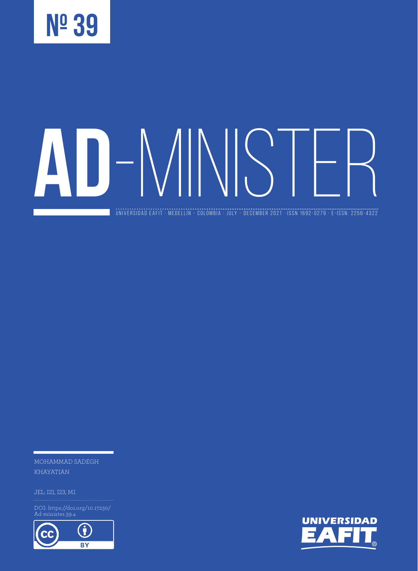

universidad eafit · medellín - colombia · JULY - DECEMBER 2021 · ISSN 1692-0279 · e-ISSN: 2256-4322

MOHAMMAD SADEGH KHAYATIAN

DOI: https://doi.org/10.17230/ Ad-minister.39.4



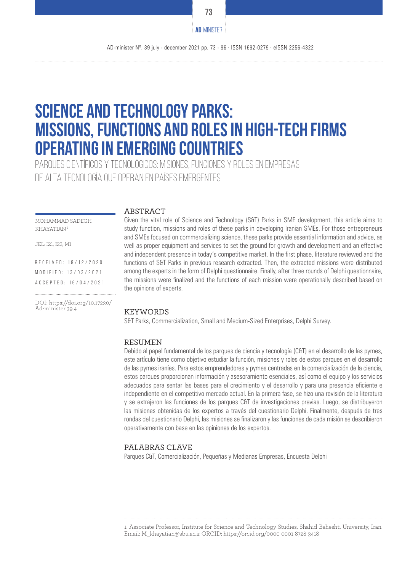# **Science and Technology Parks: Missions, Functions and Roles in high-tech Firms operating in emerging countries**

Parques científicos y tecnológicos: misiones, funciones y roles en empresas de alta tecnología que operan en países emergentes

#### **ABSTRACT**

MOHAMMAD SADEGH KHAYATIAN 1

JEL: I21, I23, M1

R E C E I V E D : 18 / 12 / 20 20 M O D I F I E D : 1 3 / 0 3 / 2 0 2 1 Accepted: 16/04/2021

DOI: https://doi.org/10.17230/ Ad-minister.39.4

Given the vital role of Science and Technology (S&T) Parks in SME development, this article aims to study function, missions and roles of these parks in developing Iranian SMEs. For those entrepreneurs and SMEs focused on commercializing science, these parks provide essential information and advice, as well as proper equipment and services to set the ground for growth and development and an effective and independent presence in today's competitive market. In the first phase, literature reviewed and the functions of S&T Parks in previous research extracted. Then, the extracted missions were distributed among the experts in the form of Delphi questionnaire. Finally, after three rounds of Delphi questionnaire, the missions were finalized and the functions of each mission were operationally described based on the opinions of experts.

#### KEYWORDS

S&T Parks, Commercialization, Small and Medium-Sized Enterprises, Delphi Survey.

#### **RESUMEN**

Debido al papel fundamental de los parques de ciencia y tecnología (C&T) en el desarrollo de las pymes, este artículo tiene como objetivo estudiar la función, misiones y roles de estos parques en el desarrollo de las pymes iraníes. Para estos emprendedores y pymes centradas en la comercialización de la ciencia, estos parques proporcionan información y asesoramiento esenciales, así como el equipo y los servicios adecuados para sentar las bases para el crecimiento y el desarrollo y para una presencia eficiente e independiente en el competitivo mercado actual. En la primera fase, se hizo una revisión de la literatura y se extrajeron las funciones de los parques C&T de investigaciones previas. Luego, se distribuyeron las misiones obtenidas de los expertos a través del cuestionario Delphi. Finalmente, después de tres rondas del cuestionario Delphi, las misiones se finalizaron y las funciones de cada misión se describieron operativamente con base en las opiniones de los expertos.

#### PALABRAS CLAVE

Parques C&T, Comercialización, Pequeñas y Medianas Empresas, Encuesta Delphi

**73**

**AD**-MINISTER

<sup>1.</sup> Associate Professor, Institute for Science and Technology Studies, Shahid Beheshti University, Iran. Email: M\_khayatian@sbu.ac.ir ORCID: https://orcid.org/0000-0001-8728-3418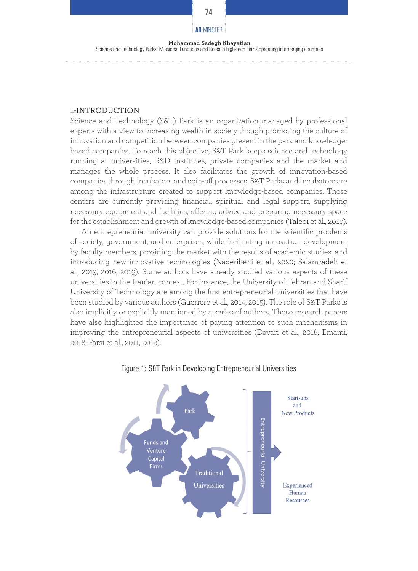**74**

Science and Technology Parks: Missions, Functions and Roles in high-tech Firms operating in emerging countries

#### 1-INTRODUCTION

Science and Technology (S&T) Park is an organization managed by professional experts with a view to increasing wealth in society though promoting the culture of innovation and competition between companies present in the park and knowledgebased companies. To reach this objective, S&T Park keeps science and technology running at universities, R&D institutes, private companies and the market and manages the whole process. It also facilitates the growth of innovation-based companies through incubators and spin-off processes. S&T Parks and incubators are among the infrastructure created to support knowledge-based companies. These centers are currently providing financial, spiritual and legal support, supplying necessary equipment and facilities, offering advice and preparing necessary space for the establishment and growth of knowledge-based companies (Talebi et al., 2010).

An entrepreneurial university can provide solutions for the scientific problems of society, government, and enterprises, while facilitating innovation development by faculty members, providing the market with the results of academic studies, and introducing new innovative technologies (Naderibeni et al., 2020; Salamzadeh et al., 2013, 2016, 2019). Some authors have already studied various aspects of these universities in the Iranian context. For instance, the University of Tehran and Sharif University of Technology are among the first entrepreneurial universities that have been studied by various authors (Guerrero et al., 2014, 2015). The role of S&T Parks is also implicitly or explicitly mentioned by a series of authors. Those research papers have also highlighted the importance of paying attention to such mechanisms in improving the entrepreneurial aspects of universities (Davari et al., 2018; Emami, 2018; Farsi et al., 2011, 2012).



Figure 1: S&T Park in Developing Entrepreneurial Universities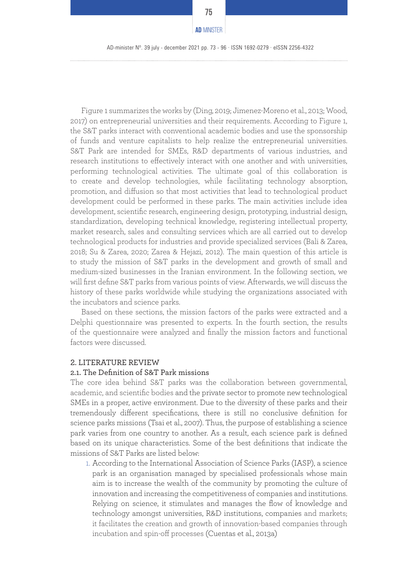AD-minister Nº. 39 july - december 2021 pp. 73 - 96 · ISSN 1692-0279 · eISSN 2256-4322

Figure 1 summarizes the works by (Ding, 2019; Jimenez-Moreno et al., 2013; Wood, 2017) on entrepreneurial universities and their requirements. According to Figure 1, the S&T parks interact with conventional academic bodies and use the sponsorship of funds and venture capitalists to help realize the entrepreneurial universities. S&T Park are intended for SMEs, R&D departments of various industries, and research institutions to effectively interact with one another and with universities, performing technological activities. The ultimate goal of this collaboration is to create and develop technologies, while facilitating technology absorption, promotion, and diffusion so that most activities that lead to technological product development could be performed in these parks. The main activities include idea development, scientific research, engineering design, prototyping, industrial design, standardization, developing technical knowledge, registering intellectual property, market research, sales and consulting services which are all carried out to develop technological products for industries and provide specialized services (Bali & Zarea, 2018; Su & Zarea, 2020; Zarea & Hejazi, 2012). The main question of this article is to study the mission of S&T parks in the development and growth of small and medium-sized businesses in the Iranian environment. In the following section, we will first define S&T parks from various points of view. Afterwards, we will discuss the history of these parks worldwide while studying the organizations associated with the incubators and science parks.

Based on these sections, the mission factors of the parks were extracted and a Delphi questionnaire was presented to experts. In the fourth section, the results of the questionnaire were analyzed and finally the mission factors and functional factors were discussed.

#### 2. LITERATURE REVIEW

#### 2.1. The Definition of S&T Park missions

The core idea behind S&T parks was the collaboration between governmental, academic, and scientific bodies and the private sector to promote new technological SMEs in a proper, active environment. Due to the diversity of these parks and their tremendously different specifications, there is still no conclusive definition for science parks missions (Tsai et al., 2007). Thus, the purpose of establishing a science park varies from one country to another. As a result, each science park is defined based on its unique characteristics. Some of the best definitions that indicate the missions of S&T Parks are listed below:

1. According to the International Association of Science Parks (IASP), a science park is an organisation managed by specialised professionals whose main aim is to increase the wealth of the community by promoting the culture of innovation and increasing the competitiveness of companies and institutions. Relying on science, it stimulates and manages the flow of knowledge and technology amongst universities, R&D institutions, companies and markets; it facilitates the creation and growth of innovation-based companies through incubation and spin-off processes (Cuentas et al., 2013a)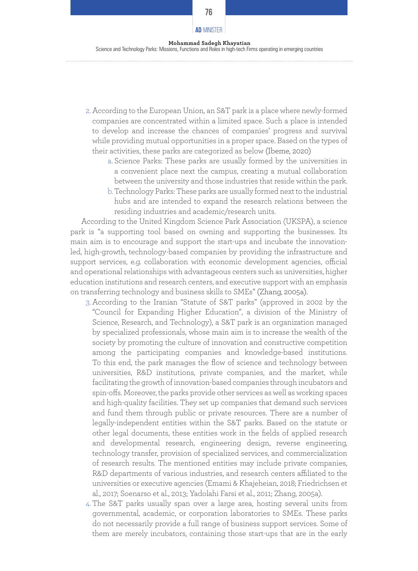# **Mohammad Sadegh Khayatian AD**-MINISTER

Science and Technology Parks: Missions, Functions and Roles in high-tech Firms operating in emerging countries

- 2. According to the European Union, an S&T park is a place where newly-formed companies are concentrated within a limited space. Such a place is intended to develop and increase the chances of companies' progress and survival while providing mutual opportunities in a proper space. Based on the types of their activities, these parks are categorized as below (Ibeme, 2020)
	- a. Science Parks: These parks are usually formed by the universities in a convenient place next the campus, creating a mutual collaboration between the university and those industries that reside within the park.
	- b.Technology Parks: These parks are usually formed next to the industrial hubs and are intended to expand the research relations between the residing industries and academic/research units.

According to the United Kingdom Science Park Association (UKSPA), a science park is "a supporting tool based on owning and supporting the businesses. Its main aim is to encourage and support the start-ups and incubate the innovationled, high-growth, technology-based companies by providing the infrastructure and support services, e.g. collaboration with economic development agencies, official and operational relationships with advantageous centers such as universities, higher education institutions and research centers, and executive support with an emphasis on transferring technology and business skills to SMEs" (Zhang, 2005a).

- 3. According to the Iranian "Statute of S&T parks" (approved in 2002 by the "Council for Expanding Higher Education", a division of the Ministry of Science, Research, and Technology), a S&T park is an organization managed by specialized professionals, whose main aim is to increase the wealth of the society by promoting the culture of innovation and constructive competition among the participating companies and knowledge-based institutions. To this end, the park manages the flow of science and technology between universities, R&D institutions, private companies, and the market, while facilitating the growth of innovation-based companies through incubators and spin-offs. Moreover, the parks provide other services as well as working spaces and high-quality facilities. They set up companies that demand such services and fund them through public or private resources. There are a number of legally-independent entities within the S&T parks. Based on the statute or other legal documents, these entities work in the fields of applied research and developmental research, engineering design, reverse engineering, technology transfer, provision of specialized services, and commercialization of research results. The mentioned entities may include private companies, R&D departments of various industries, and research centers affiliated to the universities or executive agencies (Emami & Khajeheian, 2018; Friedrichsen et al., 2017; Soenarso et al., 2013; Yadolahi Farsi et al., 2011; Zhang, 2005a).
- 4. The S&T parks usually span over a large area, hosting several units from governmental, academic, or corporation laboratories to SMEs. These parks do not necessarily provide a full range of business support services. Some of them are merely incubators, containing those start-ups that are in the early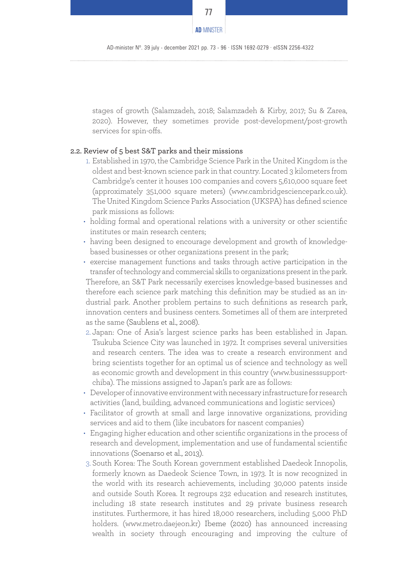

AD-minister Nº. 39 july - december 2021 pp. 73 - 96 · ISSN 1692-0279 · eISSN 2256-4322

stages of growth (Salamzadeh, 2018; Salamzadeh & Kirby, 2017; Su & Zarea, 2020). However, they sometimes provide post-development/post-growth services for spin-offs.

#### 2.2. Review of 5 best S&T parks and their missions

- 1. Established in 1970, the Cambridge Science Park in the United Kingdom is the oldest and best-known science park in that country. Located 3 kilometers from Cambridge's center it houses 100 companies and covers 5,610,000 square feet (approximately 351,000 square meters) (www.cambridgesciencepark.co.uk). The United Kingdom Science Parks Association (UKSPA) has defined science park missions as follows:
- holding formal and operational relations with a university or other scientific institutes or main research centers;
- having been designed to encourage development and growth of knowledgebased businesses or other organizations present in the park;
- exercise management functions and tasks through active participation in the transfer of technology and commercial skills to organizations present in the park. Therefore, an S&T Park necessarily exercises knowledge-based businesses and therefore each science park matching this definition may be studied as an industrial park. Another problem pertains to such definitions as research park, innovation centers and business centers. Sometimes all of them are interpreted as the same (Saublens et al., 2008).
- 2. Japan: One of Asia's largest science parks has been established in Japan. Tsukuba Science City was launched in 1972. It comprises several universities and research centers. The idea was to create a research environment and bring scientists together for an optimal us of science and technology as well as economic growth and development in this country (www.businesssupportchiba). The missions assigned to Japan's park are as follows:
- Developer of innovative environment with necessary infrastructure for research activities (land, building, advanced communications and logistic services)
- Facilitator of growth at small and large innovative organizations, providing services and aid to them (like incubators for nascent companies)
- Engaging higher education and other scientific organizations in the process of research and development, implementation and use of fundamental scientific innovations (Soenarso et al., 2013).
- 3. South Korea: The South Korean government established Daedeok Innopolis, formerly known as Daedeok Science Town, in 1973. It is now recognized in the world with its research achievements, including 30,000 patents inside and outside South Korea. It regroups 232 education and research institutes, including 18 state research institutes and 29 private business research institutes. Furthermore, it has hired 18,000 researchers, including 5,000 PhD holders. (www.metro.daejeon.kr) Ibeme (2020) has announced increasing wealth in society through encouraging and improving the culture of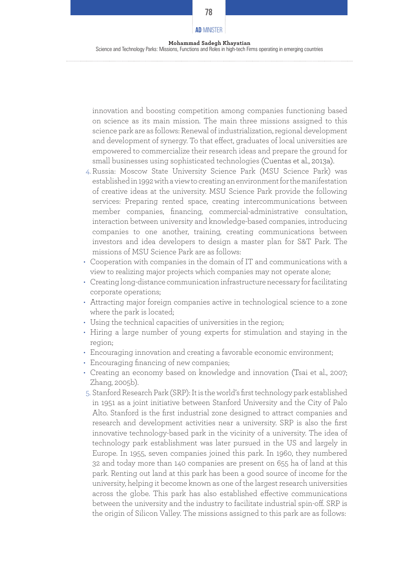innovation and boosting competition among companies functioning based on science as its main mission. The main three missions assigned to this science park are as follows: Renewal of industrialization, regional development and development of synergy. To that effect, graduates of local universities are empowered to commercialize their research ideas and prepare the ground for small businesses using sophisticated technologies (Cuentas et al., 2013a).

- 4. Russia: Moscow State University Science Park (MSU Science Park) was established in 1992 with a view to creating an environment for the manifestation of creative ideas at the university. MSU Science Park provide the following services: Preparing rented space, creating intercommunications between member companies, financing, commercial-administrative consultation, interaction between university and knowledge-based companies, introducing companies to one another, training, creating communications between investors and idea developers to design a master plan for S&T Park. The missions of MSU Science Park are as follows:
- Cooperation with companies in the domain of IT and communications with a view to realizing major projects which companies may not operate alone;
- Creating long-distance communication infrastructure necessary for facilitating corporate operations;
- Attracting major foreign companies active in technological science to a zone where the park is located;
- Using the technical capacities of universities in the region;
- Hiring a large number of young experts for stimulation and staying in the region;
- Encouraging innovation and creating a favorable economic environment;
- Encouraging financing of new companies;
- Creating an economy based on knowledge and innovation (Tsai et al., 2007; Zhang, 2005b).
- 5. Stanford Research Park (SRP): It is the world's first technology park established in 1951 as a joint initiative between Stanford University and the City of Palo Alto. Stanford is the first industrial zone designed to attract companies and research and development activities near a university. SRP is also the first innovative technology-based park in the vicinity of a university. The idea of technology park establishment was later pursued in the US and largely in Europe. In 1955, seven companies joined this park. In 1960, they numbered 32 and today more than 140 companies are present on 655 ha of land at this park. Renting out land at this park has been a good source of income for the university, helping it become known as one of the largest research universities across the globe. This park has also established effective communications between the university and the industry to facilitate industrial spin-off. SRP is the origin of Silicon Valley. The missions assigned to this park are as follows: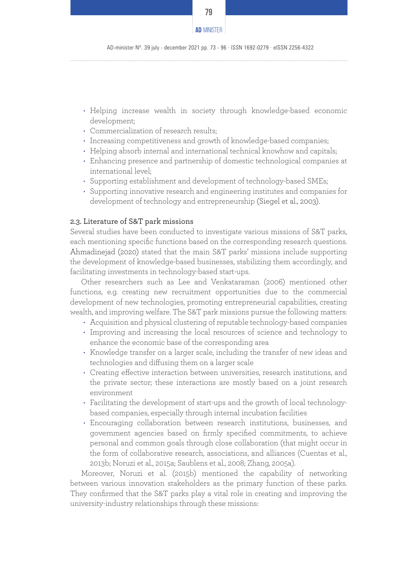

AD-minister Nº. 39 july - december 2021 pp. 73 - 96 · ISSN 1692-0279 · eISSN 2256-4322

- Helping increase wealth in society through knowledge-based economic development;
- Commercialization of research results;
- Increasing competitiveness and growth of knowledge-based companies;
- Helping absorb internal and international technical knowhow and capitals;
- Enhancing presence and partnership of domestic technological companies at international level;
- Supporting establishment and development of technology-based SMEs;
- Supporting innovative research and engineering institutes and companies for development of technology and entrepreneurship (Siegel et al., 2003).

#### 2.3. Literature of S&T park missions

Several studies have been conducted to investigate various missions of S&T parks, each mentioning specific functions based on the corresponding research questions. Ahmadinejad (2020) stated that the main S&T parks' missions include supporting the development of knowledge-based businesses, stabilizing them accordingly, and facilitating investments in technology-based start-ups.

Other researchers such as Lee and Venkataraman (2006) mentioned other functions, e.g. creating new recruitment opportunities due to the commercial development of new technologies, promoting entrepreneurial capabilities, creating wealth, and improving welfare. The S&T park missions pursue the following matters:

- Acquisition and physical clustering of reputable technology-based companies
- Improving and increasing the local resources of science and technology to enhance the economic base of the corresponding area
- Knowledge transfer on a larger scale, including the transfer of new ideas and technologies and diffusing them on a larger scale
- Creating effective interaction between universities, research institutions, and the private sector; these interactions are mostly based on a joint research environment
- Facilitating the development of start-ups and the growth of local technologybased companies, especially through internal incubation facilities
- Encouraging collaboration between research institutions, businesses, and government agencies based on firmly specified commitments, to achieve personal and common goals through close collaboration (that might occur in the form of collaborative research, associations, and alliances (Cuentas et al., 2013b; Noruzi et al., 2015a; Saublens et al., 2008; Zhang, 2005a).

Moreover, Noruzi et al. (2015b) mentioned the capability of networking between various innovation stakeholders as the primary function of these parks. They confirmed that the S&T parks play a vital role in creating and improving the university-industry relationships through these missions: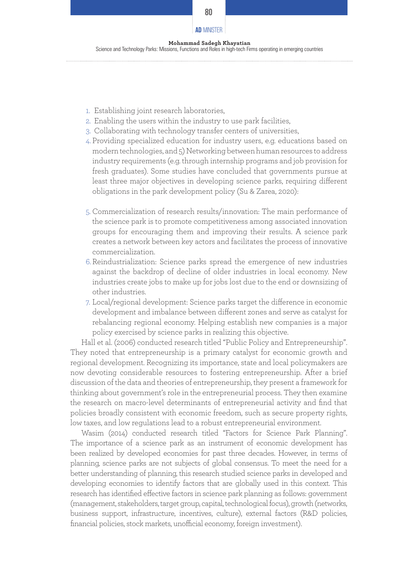# **Mohammad Sadegh Khayatian AD**-MINISTER

Science and Technology Parks: Missions, Functions and Roles in high-tech Firms operating in emerging countries

- 1. Establishing joint research laboratories,
- 2. Enabling the users within the industry to use park facilities,
- 3. Collaborating with technology transfer centers of universities,
- 4. Providing specialized education for industry users, e.g. educations based on modern technologies, and 5) Networking between human resources to address industry requirements (e.g. through internship programs and job provision for fresh graduates). Some studies have concluded that governments pursue at least three major objectives in developing science parks, requiring different obligations in the park development policy (Su & Zarea, 2020):
- 5. Commercialization of research results/innovation: The main performance of the science park is to promote competitiveness among associated innovation groups for encouraging them and improving their results. A science park creates a network between key actors and facilitates the process of innovative commercialization.
- 6.Reindustrialization: Science parks spread the emergence of new industries against the backdrop of decline of older industries in local economy. New industries create jobs to make up for jobs lost due to the end or downsizing of other industries.
- 7. Local/regional development: Science parks target the difference in economic development and imbalance between different zones and serve as catalyst for rebalancing regional economy. Helping establish new companies is a major policy exercised by science parks in realizing this objective.

Hall et al. (2006) conducted research titled "Public Policy and Entrepreneurship". They noted that entrepreneurship is a primary catalyst for economic growth and regional development. Recognizing its importance, state and local policymakers are now devoting considerable resources to fostering entrepreneurship. After a brief discussion of the data and theories of entrepreneurship, they present a framework for thinking about government's role in the entrepreneurial process. They then examine the research on macro-level determinants of entrepreneurial activity and find that policies broadly consistent with economic freedom, such as secure property rights, low taxes, and low regulations lead to a robust entrepreneurial environment.

Wasim (2014) conducted research titled "Factors for Science Park Planning". The importance of a science park as an instrument of economic development has been realized by developed economies for past three decades. However, in terms of planning, science parks are not subjects of global consensus. To meet the need for a better understanding of planning, this research studied science parks in developed and developing economies to identify factors that are globally used in this context. This research has identified effective factors in science park planning as follows: government (management, stakeholders, target group, capital, technological focus), growth (networks, business support, infrastructure, incentives, culture), external factors (R&D policies, financial policies, stock markets, unofficial economy, foreign investment).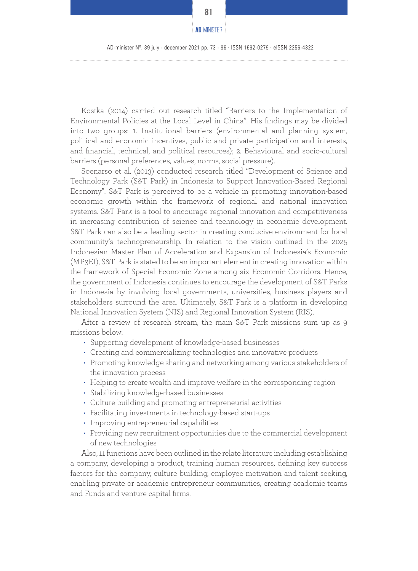

AD-minister Nº. 39 july - december 2021 pp. 73 - 96 · ISSN 1692-0279 · eISSN 2256-4322

Kostka (2014) carried out research titled "Barriers to the Implementation of Environmental Policies at the Local Level in China". His findings may be divided into two groups: 1. Institutional barriers (environmental and planning system, political and economic incentives, public and private participation and interests, and financial, technical, and political resources); 2. Behavioural and socio-cultural barriers (personal preferences, values, norms, social pressure).

Soenarso et al. (2013) conducted research titled "Development of Science and Technology Park (S&T Park) in Indonesia to Support Innovation-Based Regional Economy". S&T Park is perceived to be a vehicle in promoting innovation-based economic growth within the framework of regional and national innovation systems. S&T Park is a tool to encourage regional innovation and competitiveness in increasing contribution of science and technology in economic development. S&T Park can also be a leading sector in creating conducive environment for local community's technopreneurship. In relation to the vision outlined in the 2025 Indonesian Master Plan of Acceleration and Expansion of Indonesia's Economic (MP3EI), S&T Park is stated to be an important element in creating innovation within the framework of Special Economic Zone among six Economic Corridors. Hence, the government of Indonesia continues to encourage the development of S&T Parks in Indonesia by involving local governments, universities, business players and stakeholders surround the area. Ultimately, S&T Park is a platform in developing National Innovation System (NIS) and Regional Innovation System (RIS).

After a review of research stream, the main S&T Park missions sum up as 9 missions below:

- Supporting development of knowledge-based businesses
- Creating and commercializing technologies and innovative products
- Promoting knowledge sharing and networking among various stakeholders of the innovation process
- Helping to create wealth and improve welfare in the corresponding region
- Stabilizing knowledge-based businesses
- Culture building and promoting entrepreneurial activities
- Facilitating investments in technology-based start-ups
- Improving entrepreneurial capabilities
- Providing new recruitment opportunities due to the commercial development of new technologies

Also, 11 functions have been outlined in the relate literature including establishing a company, developing a product, training human resources, defining key success factors for the company, culture building, employee motivation and talent seeking, enabling private or academic entrepreneur communities, creating academic teams and Funds and venture capital firms.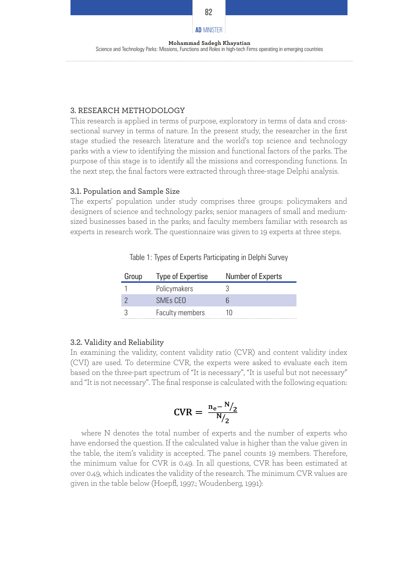# **Mohammad Sadegh Khayatian AD**-MINISTER

Science and Technology Parks: Missions, Functions and Roles in high-tech Firms operating in emerging countries

#### 3. RESEARCH METHODOLOGY

This research is applied in terms of purpose, exploratory in terms of data and crosssectional survey in terms of nature. In the present study, the researcher in the first stage studied the research literature and the world's top science and technology parks with a view to identifying the mission and functional factors of the parks. The purpose of this stage is to identify all the missions and corresponding functions. In the next step, the final factors were extracted through three-stage Delphi analysis.

#### 3.1. Population and Sample Size

The experts' population under study comprises three groups: policymakers and designers of science and technology parks; senior managers of small and mediumsized businesses based in the parks; and faculty members familiar with research as experts in research work. The questionnaire was given to 19 experts at three steps.

| Group | Type of Expertise    | Number of Experts |
|-------|----------------------|-------------------|
|       | Policymakers         |                   |
|       | SME <sub>s</sub> CFO |                   |
|       | Faculty members      | 111               |

|  |  |  |  | Table 1: Types of Experts Participating in Delphi Survey |  |  |  |
|--|--|--|--|----------------------------------------------------------|--|--|--|
|--|--|--|--|----------------------------------------------------------|--|--|--|

#### 3.2. Validity and Reliability

In examining the validity, content validity ratio (CVR) and content validity index (CVI) are used. To determine CVR, the experts were asked to evaluate each item based on the three-part spectrum of "It is necessary", "It is useful but not necessary" and "It is not necessary". The final response is calculated with the following equation:

$$
CVR = \frac{n_e - N/2}{N/2}
$$

where N denotes the total number of experts and the number of experts who have endorsed the question. If the calculated value is higher than the value given in the table, the item's validity is accepted. The panel counts 19 members. Therefore, the minimum value for CVR is 0.49. In all questions, CVR has been estimated at over 0.49, which indicates the validity of the research. The minimum CVR values are given in the table below (Hoepfl, 1997.; Woudenberg, 1991):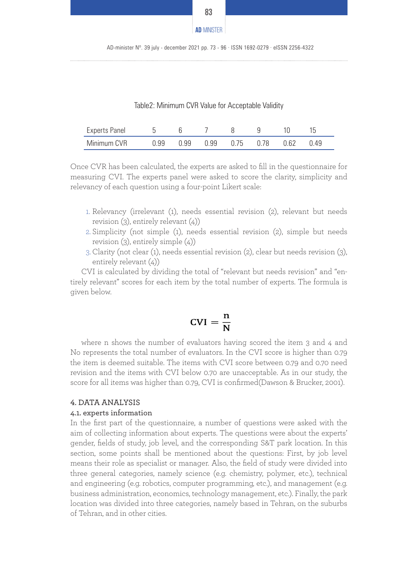| <b>AD-MINISTER</b> |  |
|--------------------|--|

| <b>Experts Panel</b> |      |                             |  |     |      |
|----------------------|------|-----------------------------|--|-----|------|
| Minimum CVR          | ) 99 | $0.99$ $0.99$ $0.75$ $0.78$ |  | 062 | ገ 49 |

Once CVR has been calculated, the experts are asked to fill in the questionnaire for measuring CVI. The experts panel were asked to score the clarity, simplicity and relevancy of each question using a four-point Likert scale:

- 1. Relevancy (irrelevant (1), needs essential revision (2), relevant but needs revision  $(3)$ , entirely relevant  $(4)$
- 2. Simplicity (not simple (1), needs essential revision (2), simple but needs revision (3), entirely simple (4))
- 3.Clarity (not clear (1), needs essential revision (2), clear but needs revision (3), entirely relevant (4))

CVI is calculated by dividing the total of "relevant but needs revision" and "entirely relevant" scores for each item by the total number of experts. The formula is given below.

$$
\text{CVI} = \frac{n}{N}
$$

where n shows the number of evaluators having scored the item 3 and 4 and No represents the total number of evaluators. In the CVI score is higher than 0.79 the item is deemed suitable. The items with CVI score between 0.79 and 0.70 need revision and the items with CVI below 0.70 are unacceptable. As in our study, the score for all items was higher than 0.79, CVI is confirmed(Dawson & Brucker, 2001).

#### 4. DATA ANALYSIS

#### 4.1. experts information

In the first part of the questionnaire, a number of questions were asked with the aim of collecting information about experts. The questions were about the experts' gender, fields of study, job level, and the corresponding S&T park location. In this section, some points shall be mentioned about the questions: First, by job level means their role as specialist or manager. Also, the field of study were divided into three general categories, namely science (e.g. chemistry, polymer, etc.), technical and engineering (e.g. robotics, computer programming, etc.), and management (e.g. business administration, economics, technology management, etc.). Finally, the park location was divided into three categories, namely based in Tehran, on the suburbs of Tehran, and in other cities.

**83** 

AD-minister Nº. 39 july - december 2021 pp. 73 - 96 · ISSN 1692-0279 · eISSN 2256-4322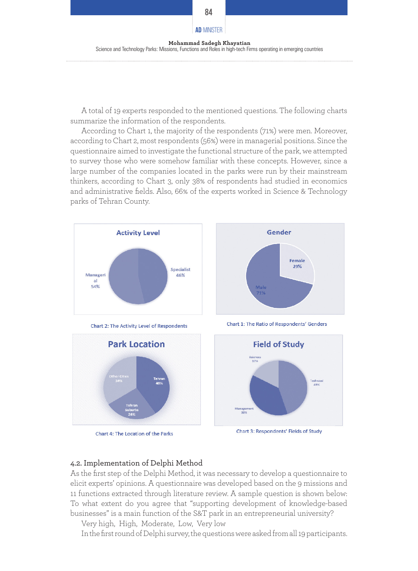

A total of 19 experts responded to the mentioned questions. The following charts summarize the information of the respondents.

According to Chart 1, the majority of the respondents (71%) were men. Moreover, according to Chart 2, most respondents (56%) were in managerial positions. Since the questionnaire aimed to investigate the functional structure of the park, we attempted to survey those who were somehow familiar with these concepts. However, since a large number of the companies located in the parks were run by their mainstream thinkers, according to Chart 3, only 38% of respondents had studied in economics and administrative fields. Also, 66% of the experts worked in Science & Technology parks of Tehran County.



Chart 4: The Location of the Parks

Chart 3: Respondents' Fields of Study

#### 4.2. Implementation of Delphi Method

As the first step of the Delphi Method, it was necessary to develop a questionnaire to elicit experts' opinions. A questionnaire was developed based on the 9 missions and 11 functions extracted through literature review. A sample question is shown below: To what extent do you agree that "supporting development of knowledge-based businesses" is a main function of the S&T park in an entrepreneurial university?

Very high, High, Moderate, Low, Very low

In the first round of Delphi survey, the questions were asked from all 19 participants.

#### **84**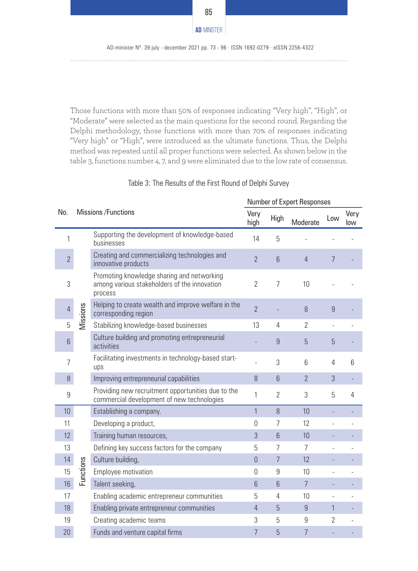

Those functions with more than 50% of responses indicating "Very high", "High", or "Moderate" were selected as the main questions for the second round. Regarding the Delphi methodology, those functions with more than 70% of responses indicating "Very high" or "High", were introduced as the ultimate functions. Thus, the Delphi method was repeated until all proper functions were selected. As shown below in the table 3, functions number 4, 7, and 9 were eliminated due to the low rate of consensus.

|  |  |  | Table 3: The Results of the First Round of Delphi Survey |
|--|--|--|----------------------------------------------------------|
|--|--|--|----------------------------------------------------------|

|     |                 |                             | Number of Expert Responses                                                                            |                |                 |                |                |             |
|-----|-----------------|-----------------------------|-------------------------------------------------------------------------------------------------------|----------------|-----------------|----------------|----------------|-------------|
| No. |                 | <b>Missions / Functions</b> |                                                                                                       | Very<br>high   | High            | Moderate       | Low            | Very<br>low |
|     | 1               |                             | Supporting the development of knowledge-based<br>businesses                                           | 14             | 5               |                |                |             |
|     | $\overline{2}$  |                             | Creating and commercializing technologies and<br>innovative products                                  | $\overline{2}$ | 6               | $\overline{4}$ | 7              |             |
|     | 3               |                             | Promoting knowledge sharing and networking<br>among various stakeholders of the innovation<br>process | $\gamma$       | 7               | 10             |                |             |
|     | $\overline{4}$  | Vissions                    | Helping to create wealth and improve welfare in the<br>corresponding region                           | $\overline{2}$ |                 | 8              | 9              |             |
|     | 5               |                             | Stabilizing knowledge-based businesses                                                                | 13             | 4               | $\overline{2}$ |                |             |
|     | $6\phantom{a}$  |                             | Culture building and promoting entrepreneurial<br>activities                                          |                | 9               | 5              | 5              |             |
|     | 7               |                             | Facilitating investments in technology-based start-<br>ups                                            |                | 3               | 6              | 4              | 6           |
|     | 8               |                             | Improving entrepreneurial capabilities                                                                | 8              | $6\phantom{1}6$ | $\overline{2}$ | 3              |             |
|     | 9               |                             | Providing new recruitment opportunities due to the<br>commercial development of new technologies      | 1              | $\overline{2}$  | 3              | 5              | 4           |
|     | 10              |                             | Establishing a company.                                                                               | $\mathbf{1}$   | $\beta$         | 10             |                |             |
|     | 11              |                             | Developing a product,                                                                                 | $\Omega$       | 7               | 12             |                |             |
|     | 12 <sup>°</sup> |                             | Training human resources,                                                                             | 3              | $6\phantom{1}$  | 10             |                |             |
|     | 13              |                             | Defining key success factors for the company                                                          | 5              | 7               | $\overline{7}$ |                |             |
|     | 14              |                             | Culture building,                                                                                     | $\theta$       | 7               | 12             |                |             |
|     | 15              | Functions                   | Employee motivation                                                                                   | 0              | 9               | 10             |                |             |
|     | 16              |                             | Talent seeking,                                                                                       | 6              | $6\phantom{a}$  | $\overline{7}$ |                |             |
|     | 17              |                             | Enabling academic entrepreneur communities                                                            | 5              | 4               | 10             |                |             |
|     | 18              |                             | Enabling private entrepreneur communities                                                             | $\overline{4}$ | $\overline{5}$  | 9              | $\mathbf{1}$   |             |
|     | 19              |                             | Creating academic teams                                                                               | 3              | 5               | 9              | $\overline{2}$ |             |
|     | 20              |                             | Funds and venture capital firms                                                                       | 7              | 5               | $\overline{7}$ |                |             |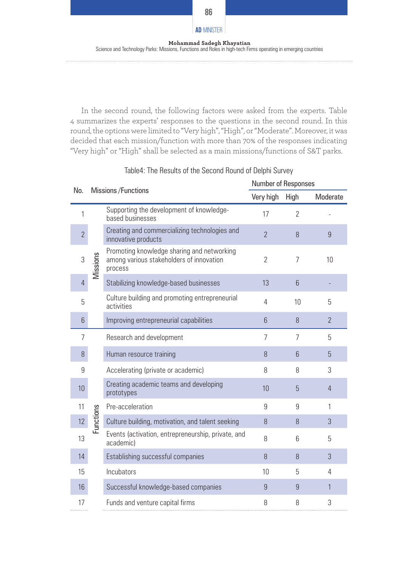

**86**

In the second round, the following factors were asked from the experts. Table 4 summarizes the experts' responses to the questions in the second round. In this round, the options were limited to "Very high", "High", or "Moderate". Moreover, it was decided that each mission/function with more than 70% of the responses indicating "Very high" or "High" shall be selected as a main missions/functions of S&T parks.

|                | Missions / Functions |                                                                                                   | Number of Responses |                |                |  |  |
|----------------|----------------------|---------------------------------------------------------------------------------------------------|---------------------|----------------|----------------|--|--|
| No.            |                      |                                                                                                   |                     | <b>High</b>    | Moderate       |  |  |
| 1              |                      | Supporting the development of knowledge-<br>based businesses                                      | 17                  | $\gamma$       |                |  |  |
| $\overline{2}$ |                      | Creating and commercializing technologies and<br>innovative products                              | $\overline{2}$      | $\theta$       | 9              |  |  |
| 3              | Missions             | Promoting knowledge sharing and networking<br>among various stakeholders of innovation<br>process | $\overline{2}$      | $\overline{7}$ | 10             |  |  |
| $\overline{4}$ |                      | Stabilizing knowledge-based businesses                                                            | 13                  | $6\phantom{1}$ |                |  |  |
| 5              |                      | Culture building and promoting entrepreneurial<br>activities                                      | 4                   | 10             | 5              |  |  |
| 6              |                      | Improving entrepreneurial capabilities                                                            | 6                   | 8              | $\overline{2}$ |  |  |
| 7              |                      | Research and development                                                                          | 7                   | 7              | 5              |  |  |
| 8              |                      | Human resource training                                                                           | 8                   | 6              | 5              |  |  |
| 9              |                      | Accelerating (private or academic)                                                                | 8                   | 8              | 3              |  |  |
| 10             |                      | Creating academic teams and developing<br>prototypes                                              | 10                  | 5              | $\overline{4}$ |  |  |
| 11             |                      | Pre-acceleration                                                                                  | 9                   | 9              | 1              |  |  |
| 12             | Functions            | Culture building, motivation, and talent seeking                                                  | 8                   | 8              | 3              |  |  |
| 13             |                      | Events (activation, entrepreneurship, private, and<br>academic)                                   | 8                   | 6              | 5              |  |  |
| 14             |                      | Establishing successful companies                                                                 | $\mathcal{B}$       | $\mathcal{B}$  | 3              |  |  |
| 15             |                      | Incubators                                                                                        | 10                  | 5              | 4              |  |  |
| 16             |                      | Successful knowledge-based companies                                                              | 9                   | 9              | 1              |  |  |
| 17             |                      | Funds and venture capital firms                                                                   | 8                   | 8              | 3              |  |  |

# Table4: The Results of the Second Round of Delphi Survey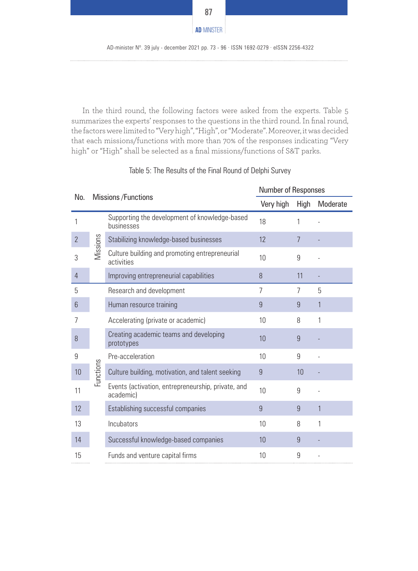

In the third round, the following factors were asked from the experts. Table 5 summarizes the experts' responses to the questions in the third round. In final round, the factors were limited to "Very high", "High", or "Moderate". Moreover, it was decided that each missions/functions with more than 70% of the responses indicating "Very high" or "High" shall be selected as a final missions/functions of S&T parks.

|                 |           |                                                                 | <b>Number of Responses</b> |      |              |  |
|-----------------|-----------|-----------------------------------------------------------------|----------------------------|------|--------------|--|
| No.             |           | Missions / Functions                                            |                            | High | Moderate     |  |
|                 |           | Supporting the development of knowledge-based<br>businesses     | 18                         | 1    |              |  |
| $\overline{2}$  |           | Stabilizing knowledge-based businesses                          | 12                         | 7    |              |  |
| 3               | Missions  | Culture building and promoting entrepreneurial<br>activities    | 10                         | 9    |              |  |
| 4               |           | Improving entrepreneurial capabilities                          | 8                          | 11   |              |  |
| 5               |           | Research and development                                        | 7                          | 7    | 5            |  |
| $6\phantom{.}6$ |           | Human resource training                                         | 9                          | 9    | 1            |  |
| 7               |           | Accelerating (private or academic)                              | 10                         | 8    | 1            |  |
| 8               |           | Creating academic teams and developing<br>prototypes            | 10                         | 9    |              |  |
| 9               |           | Pre-acceleration                                                | 10                         | 9    |              |  |
| 10              | Functions | Culture building, motivation, and talent seeking                | 9                          | 10   |              |  |
| 11              |           | Events (activation, entrepreneurship, private, and<br>academic) | 10                         | 9    |              |  |
| 12              |           | Establishing successful companies                               | 9                          | 9    | $\mathbf{1}$ |  |
| 13              |           | Incubators                                                      | 10                         | 8    | 1            |  |
| 14              |           | Successful knowledge-based companies                            | 10                         | 9    |              |  |
| 15              |           | Funds and venture capital firms                                 | 10                         | 9    |              |  |

### Table 5: The Results of the Final Round of Delphi Survey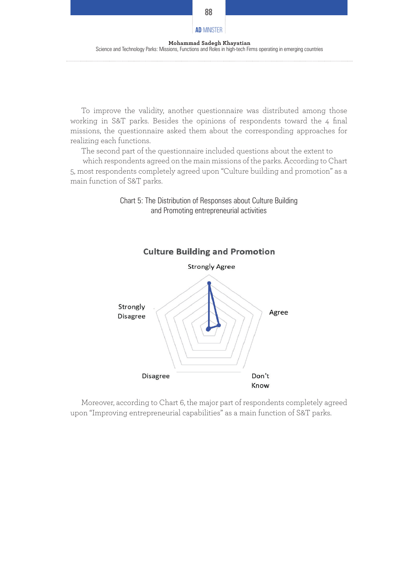**88**

To improve the validity, another questionnaire was distributed among those working in S&T parks. Besides the opinions of respondents toward the 4 final missions, the questionnaire asked them about the corresponding approaches for realizing each functions.

The second part of the questionnaire included questions about the extent to which respondents agreed on the main missions of the parks. According to Chart 5, most respondents completely agreed upon "Culture building and promotion" as a main function of S&T parks.



and Promoting entrepreneurial activities

Chart 5: The Distribution of Responses about Culture Building

Moreover, according to Chart 6, the major part of respondents completely agreed upon "Improving entrepreneurial capabilities" as a main function of S&T parks.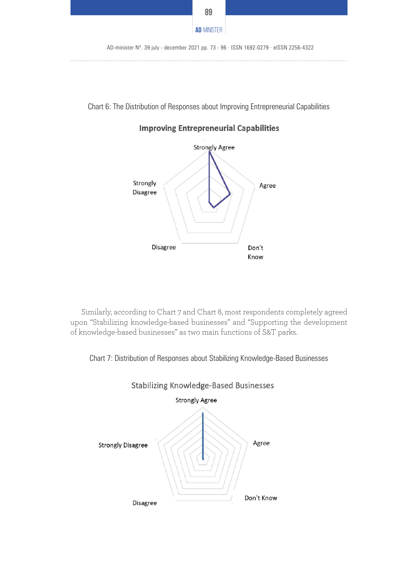

Chart 6: The Distribution of Responses about Improving Entrepreneurial Capabilities



**Improving Entrepreneurial Capabilities** 

Similarly, according to Chart 7 and Chart 8, most respondents completely agreed upon "Stabilizing knowledge-based businesses" and "Supporting the development of knowledge-based businesses" as two main functions of S&T parks.

Chart 7: Distribution of Responses about Stabilizing Knowledge-Based Businesses

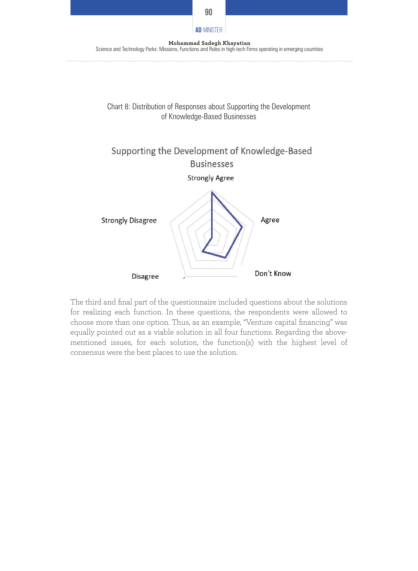

The third and final part of the questionnaire included questions about the solutions for realizing each function. In these questions, the respondents were allowed to choose more than one option. Thus, as an example, "Venture capital financing" was equally pointed out as a viable solution in all four functions. Regarding the abovementioned issues, for each solution, the function(s) with the highest level of consensus were the best places to use the solution.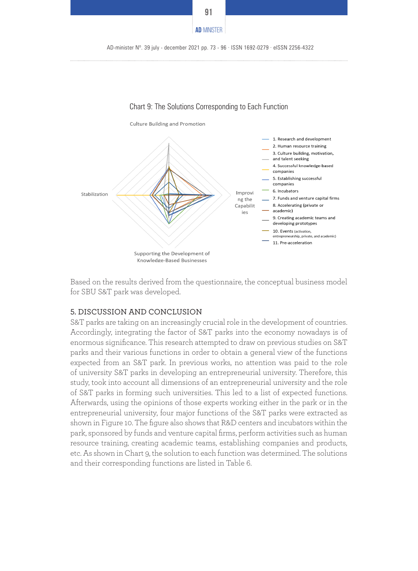



Based on the results derived from the questionnaire, the conceptual business model for SBU S&T park was developed.

#### 5. DISCUSSION AND CONCLUSION

S&T parks are taking on an increasingly crucial role in the development of countries. Accordingly, integrating the factor of S&T parks into the economy nowadays is of enormous significance. This research attempted to draw on previous studies on S&T parks and their various functions in order to obtain a general view of the functions expected from an S&T park. In previous works, no attention was paid to the role of university S&T parks in developing an entrepreneurial university. Therefore, this study, took into account all dimensions of an entrepreneurial university and the role of S&T parks in forming such universities. This led to a list of expected functions. Afterwards, using the opinions of those experts working either in the park or in the entrepreneurial university, four major functions of the S&T parks were extracted as shown in Figure 10. The figure also shows that R&D centers and incubators within the park, sponsored by funds and venture capital firms, perform activities such as human resource training, creating academic teams, establishing companies and products, etc. As shown in Chart 9, the solution to each function was determined. The solutions and their corresponding functions are listed in Table 6.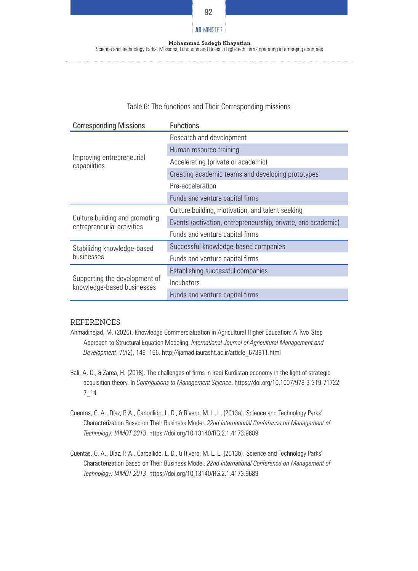

# **Mohammad Sadegh Khayatian AD**-MINISTER

Science and Technology Parks: Missions, Functions and Roles in high-tech Firms operating in emerging countries

#### Table 6: The functions and Their Corresponding missions

| <b>Corresponding Missions</b>                                | <b>Functions</b>                                             |
|--------------------------------------------------------------|--------------------------------------------------------------|
|                                                              | Research and development                                     |
|                                                              | Human resource training                                      |
| Improving entrepreneurial<br>capabilities                    | Accelerating (private or academic)                           |
|                                                              | Creating academic teams and developing prototypes            |
|                                                              | Pre-acceleration                                             |
|                                                              | Funds and venture capital firms                              |
|                                                              | Culture building, motivation, and talent seeking             |
| Culture building and promoting<br>entrepreneurial activities | Events (activation, entrepreneurship, private, and academic) |
|                                                              | Funds and venture capital firms                              |
| Stabilizing knowledge-based                                  | Successful knowledge-based companies                         |
| businesses                                                   | Funds and venture capital firms                              |
|                                                              | Establishing successful companies                            |
| Supporting the development of<br>knowledge-based businesses  | <i><u><b>Incubators</b></u></i>                              |
|                                                              | Funds and venture capital firms                              |

#### REFERENCES

- Ahmadinejad, M. (2020). Knowledge Commercialization in Agricultural Higher Education: A Two-Step Approach to Structural Equation Modeling. *International Journal of Agricultural Management and Development*, *10*(2), 149–166. http://ijamad.iaurasht.ac.ir/article\_673811.html
- Bali, A. O., & Zarea, H. (2018). The challenges of firms in Iraqi Kurdistan economy in the light of strategic acquisition theory. In *Contributions to Management Science*. https://doi.org/10.1007/978-3-319-71722- 7\_14
- Cuentas, G. A., Díaz, P. A., Carballido, L. D., & Rivero, M. L. L. (2013a). Science and Technology Parks' Characterization Based on Their Business Model. *22nd International Conference on Management of Technology: IAMOT 2013*. https://doi.org/10.13140/RG.2.1.4173.9689
- Cuentas, G. A., Díaz, P. A., Carballido, L. D., & Rivero, M. L. L. (2013b). Science and Technology Parks' Characterization Based on Their Business Model. *22nd International Conference on Management of Technology: IAMOT 2013*. https://doi.org/10.13140/RG.2.1.4173.9689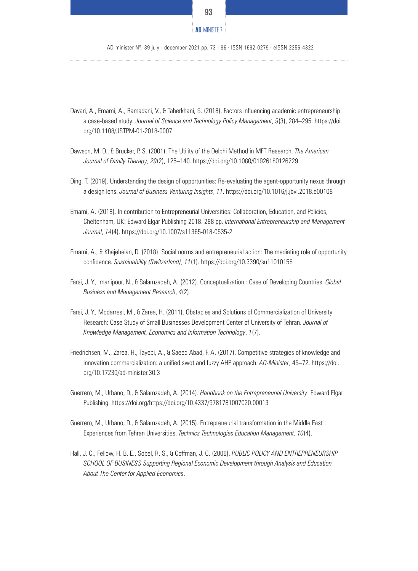

AD-minister Nº. 39 july - december 2021 pp. 73 - 96 · ISSN 1692-0279 · eISSN 2256-4322

- Davari, A., Emami, A., Ramadani, V., & Taherkhani, S. (2018). Factors influencing academic entrepreneurship: a case-based study. *Journal of Science and Technology Policy Management*, *9*(3), 284–295. https://doi. org/10.1108/JSTPM-01-2018-0007
- Dawson, M. D., & Brucker, P. S. (2001). The Utility of the Delphi Method in MFT Research. *The American Journal of Family Therapy*, *29*(2), 125–140. https://doi.org/10.1080/01926180126229
- Ding, T. (2019). Understanding the design of opportunities: Re-evaluating the agent-opportunity nexus through a design lens. *Journal of Business Venturing Insights*, *11*. https://doi.org/10.1016/j.jbvi.2018.e00108
- Emami, A. (2018). In contribution to Entrepreneurial Universities: Collaboration, Education, and Policies, Cheltenham, UK: Edward Elgar Publishing 2018. 288 pp. *International Entrepreneurship and Management Journal*, *14*(4). https://doi.org/10.1007/s11365-018-0535-2
- Emami, A., & Khajeheian, D. (2018). Social norms and entrepreneurial action: The mediating role of opportunity confidence. *Sustainability (Switzerland)*, *11*(1). https://doi.org/10.3390/su11010158
- Farsi, J. Y., Imanipour, N., & Salamzadeh, A. (2012). Conceptualization : Case of Developing Countries. *Global Business and Management Research*, *4*(2).
- Farsi, J. Y., Modarresi, M., & Zarea, H. (2011). Obstacles and Solutions of Commercialization of University Research: Case Study of Small Businesses Development Center of University of Tehran. *Journal of Knowledge Management, Economics and Information Technology*, *1*(7).
- Friedrichsen, M., Zarea, H., Tayebi, A., & Saeed Abad, F. A. (2017). Competitive strategies of knowledge and innovation commercialization: a unified swot and fuzzy AHP approach. *AD-Minister*, 45–72. https://doi. org/10.17230/ad-minister.30.3
- Guerrero, M., Urbano, D., & Salamzadeh, A. (2014). *Handbook on the Entrepreneurial University*. Edward Elgar Publishing. https://doi.org/https://doi.org/10.4337/9781781007020.00013
- Guerrero, M., Urbano, D., & Salamzadeh, A. (2015). Entrepreneurial transformation in the Middle East : Experiences from Tehran Universities. *Technics Technologies Education Management*, *10*(4).
- Hall, J. C., Fellow, H. B. E., Sobel, R. S., & Coffman, J. C. (2006). *PUBLIC POLICY AND ENTREPRENEURSHIP SCHOOL OF BUSINESS Supporting Regional Economic Development through Analysis and Education About The Center for Applied Economics*.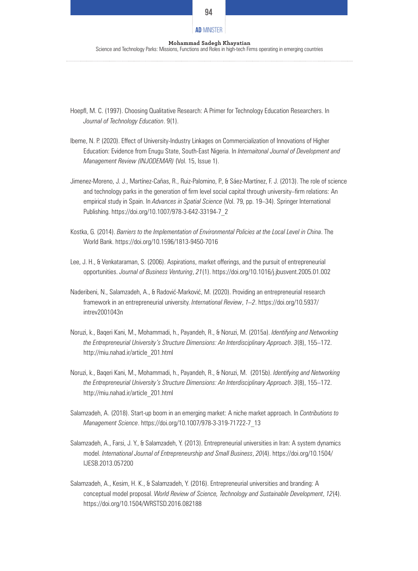#### **94**

## **Mohammad Sadegh Khayatian AD**-MINISTER

Science and Technology Parks: Missions, Functions and Roles in high-tech Firms operating in emerging countries

- Hoepfl, M. C. (1997). Choosing Qualitative Research: A Primer for Technology Education Researchers. In *Journal of Technology Education*. 9(1).
- Ibeme, N. P. (2020). Effect of University-Industry Linkages on Commercialization of Innovations of Higher Education: Evidence from Enugu State, South-East Nigeria. In *Internaitonal Journal of Development and Management Review (INJODEMAR)* (Vol. 15, Issue 1).
- Jimenez-Moreno, J. J., Martínez-Cañas, R., Ruiz-Palomino, P., & Sáez-Martínez, F. J. (2013). The role of science and technology parks in the generation of firm level social capital through university–firm relations: An empirical study in Spain. In *Advances in Spatial Science* (Vol. 79, pp. 19–34). Springer International Publishing. https://doi.org/10.1007/978-3-642-33194-7\_2
- Kostka, G. (2014). *Barriers to the Implementation of Environmental Policies at the Local Level in China*. The World Bank. https://doi.org/10.1596/1813-9450-7016
- Lee, J. H., & Venkataraman, S. (2006). Aspirations, market offerings, and the pursuit of entrepreneurial opportunities. *Journal of Business Venturing*, *21*(1). https://doi.org/10.1016/j.jbusvent.2005.01.002
- Naderibeni, N., Salamzadeh, A., & Radović-Marković, M. (2020). Providing an entrepreneurial research framework in an entrepreneurial university. *International Review*, *1–2*. https://doi.org/10.5937/ intrev2001043n
- Noruzi, k., Baqeri Kani, M., Mohammadi, h., Payandeh, R., & Noruzi, M. (2015a). *Identifying and Networking the Entrepreneurial University's Structure Dimensions: An Interdisciplinary Approach*. *3*(8), 155–172. http://miu.nahad.ir/article\_201.html
- Noruzi, k., Baqeri Kani, M., Mohammadi, h., Payandeh, R., & Noruzi, M. (2015b). *Identifying and Networking the Entrepreneurial University's Structure Dimensions: An Interdisciplinary Approach*. *3*(8), 155–172. http://miu.nahad.ir/article\_201.html
- Salamzadeh, A. (2018). Start-up boom in an emerging market: A niche market approach. In *Contributions to Management Science*. https://doi.org/10.1007/978-3-319-71722-7\_13
- Salamzadeh, A., Farsi, J. Y., & Salamzadeh, Y. (2013). Entrepreneurial universities in Iran: A system dynamics model. *International Journal of Entrepreneurship and Small Business*, *20*(4). https://doi.org/10.1504/ IJESB.2013.057200
- Salamzadeh, A., Kesim, H. K., & Salamzadeh, Y. (2016). Entrepreneurial universities and branding: A conceptual model proposal. *World Review of Science, Technology and Sustainable Development*, *12*(4). https://doi.org/10.1504/WRSTSD.2016.082188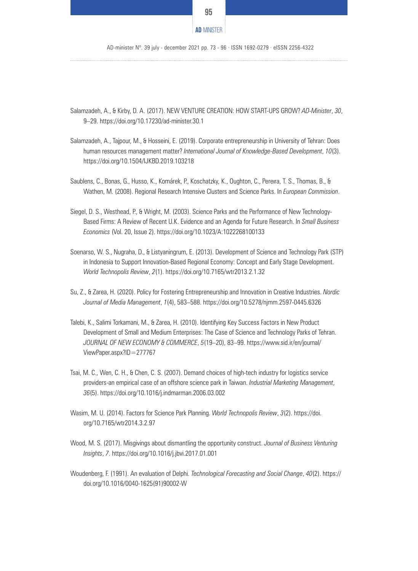

AD-minister Nº. 39 july - december 2021 pp. 73 - 96 · ISSN 1692-0279 · eISSN 2256-4322

- Salamzadeh, A., & Kirby, D. A. (2017). NEW VENTURE CREATION: HOW START-UPS GROW? *AD-Minister*, *30*, 9–29. https://doi.org/10.17230/ad-minister.30.1
- Salamzadeh, A., Tajpour, M., & Hosseini, E. (2019). Corporate entrepreneurship in University of Tehran: Does human resources management matter? *International Journal of Knowledge-Based Development*, *10*(3). https://doi.org/10.1504/IJKBD.2019.103218
- Saublens, C., Bonas, G., Husso, K., Komárek, P., Koschatzky, K., Oughton, C., Pereıra, T. S., Thomas, B., & Wathen, M. (2008). Regional Research Intensive Clusters and Science Parks. In *European Commission*.
- Siegel, D. S., Westhead, P., & Wright, M. (2003). Science Parks and the Performance of New Technology-Based Firms: A Review of Recent U.K. Evidence and an Agenda for Future Research. In *Small Business Economics* (Vol. 20, Issue 2). https://doi.org/10.1023/A:1022268100133
- Soenarso, W. S., Nugraha, D., & Listyaningrum, E. (2013). Development of Science and Technology Park (STP) in Indonesia to Support Innovation-Based Regional Economy: Concept and Early Stage Development. *World Technopolis Review*, *2*(1). https://doi.org/10.7165/wtr2013.2.1.32
- Su, Z., & Zarea, H. (2020). Policy for Fostering Entrepreneurship and Innovation in Creative Industries. *Nordic Journal of Media Management*, *1*(4), 583–588. https://doi.org/10.5278/njmm.2597-0445.6326
- Talebi, K., Salimi Torkamani, M., & Zarea, H. (2010). Identifying Key Success Factors in New Product Development of Small and Medium Enterprises: The Case of Science and Technology Parks of Tehran. *JOURNAL OF NEW ECONOMY & COMMERCE*, *5*(19–20), 83–99. https://www.sid.ir/en/journal/ ViewPaper.aspx?ID=277767
- Tsai, M. C., Wen, C. H., & Chen, C. S. (2007). Demand choices of high-tech industry for logistics service providers-an empirical case of an offshore science park in Taiwan. *Industrial Marketing Management*, *36*(5). https://doi.org/10.1016/j.indmarman.2006.03.002
- Wasim, M. U. (2014). Factors for Science Park Planning. *World Technopolis Review*, *3*(2). https://doi. org/10.7165/wtr2014.3.2.97
- Wood, M. S. (2017). Misgivings about dismantling the opportunity construct. *Journal of Business Venturing Insights*, *7*. https://doi.org/10.1016/j.jbvi.2017.01.001
- Woudenberg, F. (1991). An evaluation of Delphi. *Technological Forecasting and Social Change*, *40*(2). https:// doi.org/10.1016/0040-1625(91)90002-W